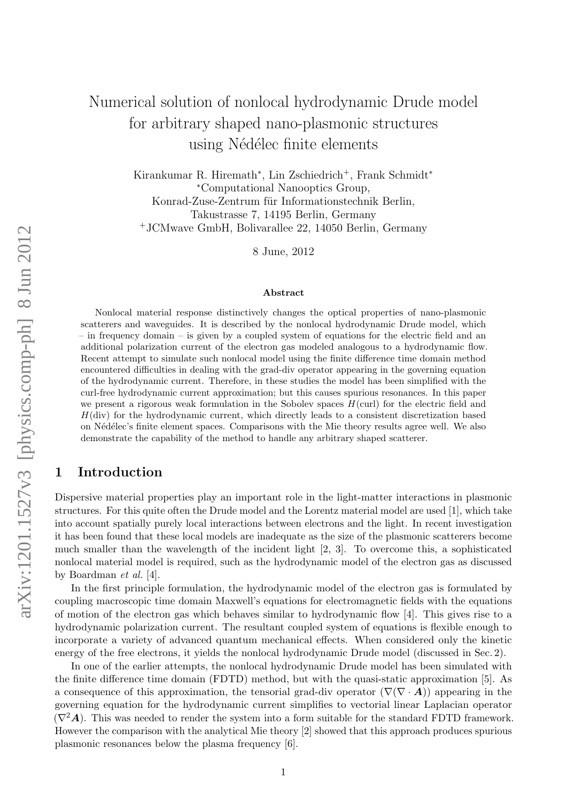# Numerical solution of nonlocal hydrodynamic Drude model for arbitrary shaped nano-plasmonic structures using Nédélec finite elements

Kirankumar R. Hiremath<sup>\*</sup>, Lin Zschiedrich<sup>+</sup>, Frank Schmidt<sup>\*</sup> <sup>∗</sup>Computational Nanooptics Group, Konrad-Zuse-Zentrum für Informationstechnik Berlin, Takustrasse 7, 14195 Berlin, Germany <sup>+</sup>JCMwave GmbH, Bolivarallee 22, 14050 Berlin, Germany

8 June, 2012

#### Abstract

Nonlocal material response distinctively changes the optical properties of nano-plasmonic scatterers and waveguides. It is described by the nonlocal hydrodynamic Drude model, which – in frequency domain – is given by a coupled system of equations for the electric field and an additional polarization current of the electron gas modeled analogous to a hydrodynamic flow. Recent attempt to simulate such nonlocal model using the finite difference time domain method encountered difficulties in dealing with the grad-div operator appearing in the governing equation of the hydrodynamic current. Therefore, in these studies the model has been simplified with the curl-free hydrodynamic current approximation; but this causes spurious resonances. In this paper we present a rigorous weak formulation in the Sobolev spaces  $H(\text{curl})$  for the electric field and  $H$ (div) for the hydrodynamic current, which directly leads to a consistent discretization based on N´ed´elec's finite element spaces. Comparisons with the Mie theory results agree well. We also demonstrate the capability of the method to handle any arbitrary shaped scatterer.

## 1 Introduction

Dispersive material properties play an important role in the light-matter interactions in plasmonic structures. For this quite often the Drude model and the Lorentz material model are used [1], which take into account spatially purely local interactions between electrons and the light. In recent investigation it has been found that these local models are inadequate as the size of the plasmonic scatterers become much smaller than the wavelength of the incident light [2, 3]. To overcome this, a sophisticated nonlocal material model is required, such as the hydrodynamic model of the electron gas as discussed by Boardman et al. [4].

In the first principle formulation, the hydrodynamic model of the electron gas is formulated by coupling macroscopic time domain Maxwell's equations for electromagnetic fields with the equations of motion of the electron gas which behaves similar to hydrodynamic flow [4]. This gives rise to a hydrodynamic polarization current. The resultant coupled system of equations is flexible enough to incorporate a variety of advanced quantum mechanical effects. When considered only the kinetic energy of the free electrons, it yields the nonlocal hydrodynamic Drude model (discussed in Sec. 2).

In one of the earlier attempts, the nonlocal hydrodynamic Drude model has been simulated with the finite difference time domain (FDTD) method, but with the quasi-static approximation [5]. As a consequence of this approximation, the tensorial grad-div operator  $(\nabla(\nabla \cdot \mathbf{A}))$  appearing in the governing equation for the hydrodynamic current simplifies to vectorial linear Laplacian operator  $(\nabla^2 \mathbf{A})$ . This was needed to render the system into a form suitable for the standard FDTD framework. However the comparison with the analytical Mie theory [2] showed that this approach produces spurious plasmonic resonances below the plasma frequency [6].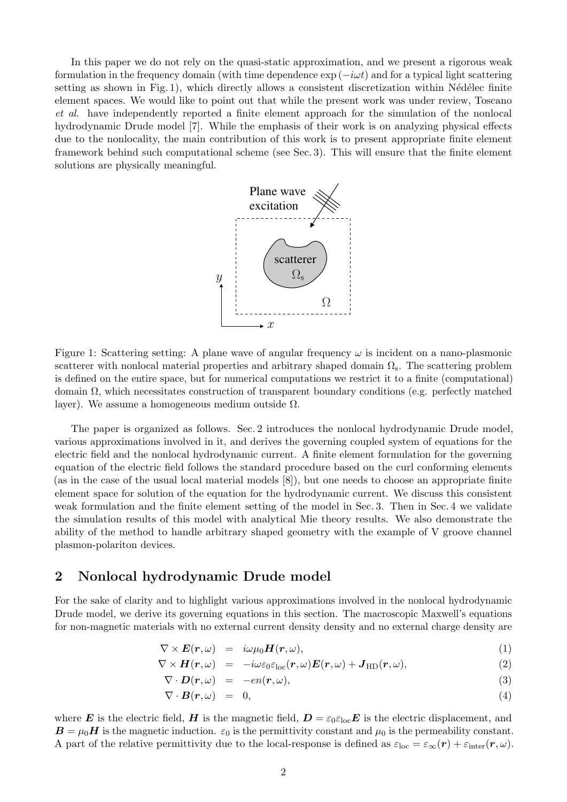In this paper we do not rely on the quasi-static approximation, and we present a rigorous weak formulation in the frequency domain (with time dependence  $\exp(-i\omega t)$  and for a typical light scattering setting as shown in Fig. 1), which directly allows a consistent discretization within Nédélec finite element spaces. We would like to point out that while the present work was under review, Toscano et al. have independently reported a finite element approach for the simulation of the nonlocal hydrodynamic Drude model [7]. While the emphasis of their work is on analyzing physical effects due to the nonlocality, the main contribution of this work is to present appropriate finite element framework behind such computational scheme (see Sec. 3). This will ensure that the finite element solutions are physically meaningful.



Figure 1: Scattering setting: A plane wave of angular frequency  $\omega$  is incident on a nano-plasmonic scatterer with nonlocal material properties and arbitrary shaped domain  $\Omega$ <sub>s</sub>. The scattering problem is defined on the entire space, but for numerical computations we restrict it to a finite (computational) domain Ω, which necessitates construction of transparent boundary conditions (e.g. perfectly matched layer). We assume a homogeneous medium outside  $\Omega$ .

The paper is organized as follows. Sec. 2 introduces the nonlocal hydrodynamic Drude model, various approximations involved in it, and derives the governing coupled system of equations for the electric field and the nonlocal hydrodynamic current. A finite element formulation for the governing equation of the electric field follows the standard procedure based on the curl conforming elements (as in the case of the usual local material models [8]), but one needs to choose an appropriate finite element space for solution of the equation for the hydrodynamic current. We discuss this consistent weak formulation and the finite element setting of the model in Sec. 3. Then in Sec. 4 we validate the simulation results of this model with analytical Mie theory results. We also demonstrate the ability of the method to handle arbitrary shaped geometry with the example of V groove channel plasmon-polariton devices.

## 2 Nonlocal hydrodynamic Drude model

For the sake of clarity and to highlight various approximations involved in the nonlocal hydrodynamic Drude model, we derive its governing equations in this section. The macroscopic Maxwell's equations for non-magnetic materials with no external current density density and no external charge density are

$$
\nabla \times \boldsymbol{E}(\boldsymbol{r},\omega) = i\omega\mu_0 \boldsymbol{H}(\boldsymbol{r},\omega), \qquad (1)
$$

$$
\nabla \times \boldsymbol{H}(\boldsymbol{r},\omega) = -i\omega\varepsilon_0\varepsilon_{\rm loc}(\boldsymbol{r},\omega)\boldsymbol{E}(\boldsymbol{r},\omega) + \boldsymbol{J}_{\rm HD}(\boldsymbol{r},\omega), \qquad (2)
$$

$$
\nabla \cdot \bm{D}(\bm{r},\omega) = -en(\bm{r},\omega), \qquad (3)
$$

$$
\nabla \cdot \boldsymbol{B}(\boldsymbol{r},\omega) = 0, \tag{4}
$$

where E is the electric field, H is the magnetic field,  $D = \varepsilon_0 \varepsilon_{\text{loc}} E$  is the electric displacement, and  $\mathbf{B} = \mu_0 \mathbf{H}$  is the magnetic induction.  $\varepsilon_0$  is the permittivity constant and  $\mu_0$  is the permeability constant. A part of the relative permittivity due to the local-response is defined as  $\varepsilon_{\text{loc}} = \varepsilon_{\infty}(\mathbf{r}) + \varepsilon_{\text{inter}}(\mathbf{r}, \omega)$ .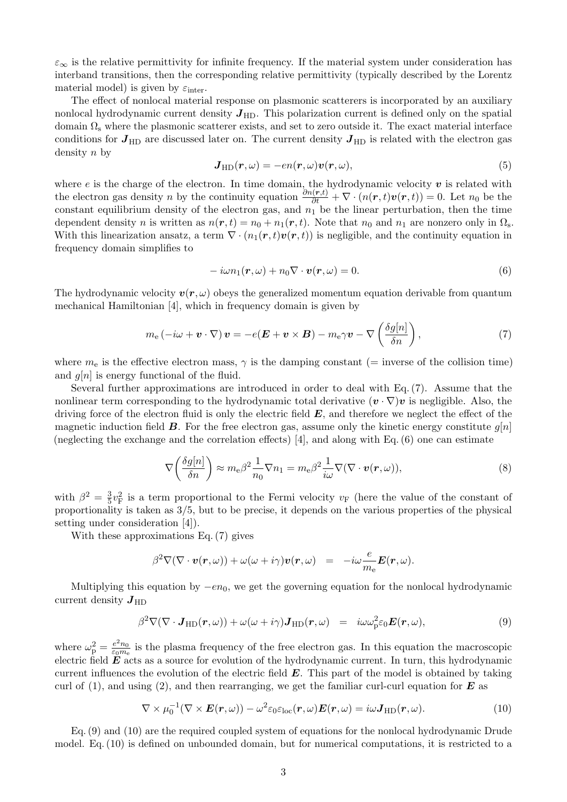$\varepsilon_{\infty}$  is the relative permittivity for infinite frequency. If the material system under consideration has interband transitions, then the corresponding relative permittivity (typically described by the Lorentz material model) is given by  $\varepsilon_{\text{inter}}$ .

The effect of nonlocal material response on plasmonic scatterers is incorporated by an auxiliary nonlocal hydrodynamic current density  $J_{HD}$ . This polarization current is defined only on the spatial domain  $\Omega$ <sub>s</sub> where the plasmonic scatterer exists, and set to zero outside it. The exact material interface conditions for  $J_{HD}$  are discussed later on. The current density  $J_{HD}$  is related with the electron gas density n by

$$
J_{HD}(r,\omega) = -en(r,\omega)v(r,\omega),
$$
\n(5)

where e is the charge of the electron. In time domain, the hydrodynamic velocity  $v$  is related with the electron gas density *n* by the continuity equation  $\frac{\partial n(\mathbf{r},t)}{\partial t} + \nabla \cdot (n(\mathbf{r},t)\mathbf{v}(\mathbf{r},t)) = 0$ . Let  $n_0$  be the constant equilibrium density of the electron gas, and  $n_1$  be the linear perturbation, then the time dependent density n is written as  $n(r, t) = n_0 + n_1(r, t)$ . Note that  $n_0$  and  $n_1$  are nonzero only in  $\Omega_s$ . With this linearization ansatz, a term  $\nabla \cdot (n_1(\mathbf{r}, t)\mathbf{v}(\mathbf{r}, t))$  is negligible, and the continuity equation in frequency domain simplifies to

$$
-i\omega n_1(\mathbf{r},\omega) + n_0 \nabla \cdot \mathbf{v}(\mathbf{r},\omega) = 0.
$$
\n(6)

The hydrodynamic velocity  $v(r, \omega)$  obeys the generalized momentum equation derivable from quantum mechanical Hamiltonian [4], which in frequency domain is given by

$$
m_{e}(-i\omega + \boldsymbol{v} \cdot \nabla) \boldsymbol{v} = -e(\boldsymbol{E} + \boldsymbol{v} \times \boldsymbol{B}) - m_{e}\gamma \boldsymbol{v} - \nabla \left(\frac{\delta g[n]}{\delta n}\right), \qquad (7)
$$

where  $m_e$  is the effective electron mass,  $\gamma$  is the damping constant (= inverse of the collision time) and  $g[n]$  is energy functional of the fluid.

Several further approximations are introduced in order to deal with Eq.(7). Assume that the nonlinear term corresponding to the hydrodynamic total derivative  $(v \cdot \nabla)v$  is negligible. Also, the driving force of the electron fluid is only the electric field  $E$ , and therefore we neglect the effect of the magnetic induction field  $\bm{B}$ . For the free electron gas, assume only the kinetic energy constitute  $q[n]$ (neglecting the exchange and the correlation effects) [4], and along with Eq. (6) one can estimate

$$
\nabla \left( \frac{\delta g[n]}{\delta n} \right) \approx m_e \beta^2 \frac{1}{n_0} \nabla n_1 = m_e \beta^2 \frac{1}{i\omega} \nabla (\nabla \cdot \mathbf{v}(\mathbf{r}, \omega)), \tag{8}
$$

with  $\beta^2 = \frac{3}{5}$  $\frac{3}{5}v_F^2$  is a term proportional to the Fermi velocity  $v_F$  (here the value of the constant of proportionality is taken as 3/5, but to be precise, it depends on the various properties of the physical setting under consideration [4]).

With these approximations Eq. (7) gives

$$
\beta^2 \nabla (\nabla \cdot \boldsymbol{v}(\boldsymbol{r}, \omega)) + \omega (\omega + i \gamma) \boldsymbol{v}(\boldsymbol{r}, \omega) = -i \omega \frac{e}{m_e} \boldsymbol{E}(\boldsymbol{r}, \omega).
$$

Multiplying this equation by  $-en_0$ , we get the governing equation for the nonlocal hydrodynamic current density  $J_{HD}$ 

$$
\beta^2 \nabla (\nabla \cdot \mathbf{J}_{HD}(\mathbf{r}, \omega)) + \omega (\omega + i\gamma) \mathbf{J}_{HD}(\mathbf{r}, \omega) = i\omega \omega_p^2 \varepsilon_0 \mathbf{E}(\mathbf{r}, \omega), \tag{9}
$$

where  $\omega_{\rm p}^2 = \frac{e^2 n_0}{\varepsilon_0 m_e}$  $\frac{e^2 n_0}{\varepsilon_0 m_e}$  is the plasma frequency of the free electron gas. In this equation the macroscopic electric field  $\mathbf{\tilde{E}}$  acts as a source for evolution of the hydrodynamic current. In turn, this hydrodynamic current influences the evolution of the electric field  $E$ . This part of the model is obtained by taking curl of (1), and using (2), and then rearranging, we get the familiar curl-curl equation for  $\bm{E}$  as

$$
\nabla \times \mu_0^{-1}(\nabla \times \boldsymbol{E}(\boldsymbol{r}, \omega)) - \omega^2 \varepsilon_0 \varepsilon_{\text{loc}}(\boldsymbol{r}, \omega) \boldsymbol{E}(\boldsymbol{r}, \omega) = i \omega \boldsymbol{J}_{\text{HD}}(\boldsymbol{r}, \omega).
$$
(10)

Eq.(9) and (10) are the required coupled system of equations for the nonlocal hydrodynamic Drude model. Eq.(10) is defined on unbounded domain, but for numerical computations, it is restricted to a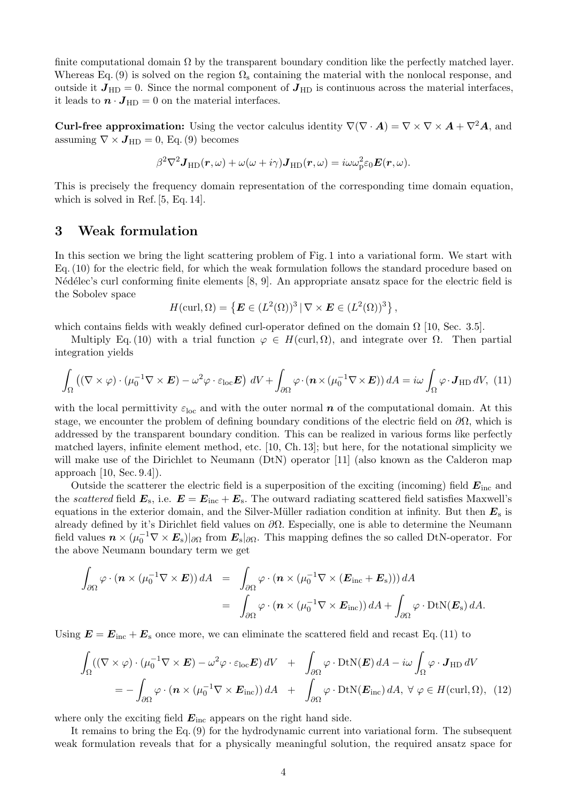finite computational domain  $\Omega$  by the transparent boundary condition like the perfectly matched layer. Whereas Eq. (9) is solved on the region  $\Omega_{\rm s}$  containing the material with the nonlocal response, and outside it  $J_{HD} = 0$ . Since the normal component of  $J_{HD}$  is continuous across the material interfaces, it leads to  $\boldsymbol{n} \cdot \boldsymbol{J}_{HD} = 0$  on the material interfaces.

**Curl-free approximation:** Using the vector calculus identity  $\nabla(\nabla \cdot \mathbf{A}) = \nabla \times \nabla \times \mathbf{A} + \nabla^2 \mathbf{A}$ , and assuming  $\nabla \times J_{HD} = 0$ , Eq. (9) becomes

$$
\beta^2 \nabla^2 \mathbf{J}_{\text{HD}}(\mathbf{r}, \omega) + \omega(\omega + i\gamma) \mathbf{J}_{\text{HD}}(\mathbf{r}, \omega) = i\omega \omega_{\text{p}}^2 \varepsilon_0 \mathbf{E}(\mathbf{r}, \omega).
$$

This is precisely the frequency domain representation of the corresponding time domain equation, which is solved in Ref. [5, Eq. 14].

## 3 Weak formulation

In this section we bring the light scattering problem of Fig. 1 into a variational form. We start with Eq.(10) for the electric field, for which the weak formulation follows the standard procedure based on N'ed'elec's curl conforming finite elements  $[8, 9]$ . An appropriate ansatz space for the electric field is the Sobolev space

$$
H(\operatorname{curl}, \Omega) = \left\{ \boldsymbol{E} \in (L^2(\Omega))^3 \, | \, \nabla \times \boldsymbol{E} \in (L^2(\Omega))^3 \right\},\
$$

which contains fields with weakly defined curl-operator defined on the domain  $\Omega$  [10, Sec. 3.5].

Multiply Eq. (10) with a trial function  $\varphi \in H(\text{curl}, \Omega)$ , and integrate over  $\Omega$ . Then partial integration yields

$$
\int_{\Omega} \left( (\nabla \times \varphi) \cdot (\mu_0^{-1} \nabla \times \boldsymbol{E}) - \omega^2 \varphi \cdot \varepsilon_{\text{loc}} \boldsymbol{E} \right) dV + \int_{\partial \Omega} \varphi \cdot (\boldsymbol{n} \times (\mu_0^{-1} \nabla \times \boldsymbol{E})) dA = i\omega \int_{\Omega} \varphi \cdot \boldsymbol{J}_{HD} dV, (11)
$$

with the local permittivity  $\varepsilon_{\text{loc}}$  and with the outer normal n of the computational domain. At this stage, we encounter the problem of defining boundary conditions of the electric field on  $\partial\Omega$ , which is addressed by the transparent boundary condition. This can be realized in various forms like perfectly matched layers, infinite element method, etc. [10, Ch. 13]; but here, for the notational simplicity we will make use of the Dirichlet to Neumann (DtN) operator [11] (also known as the Calderon map approach [10, Sec. 9.4]).

Outside the scatterer the electric field is a superposition of the exciting (incoming) field  $E_{\text{inc}}$  and the scattered field  $E_{\rm s}$ , i.e.  $E = E_{\rm inc} + E_{\rm s}$ . The outward radiating scattered field satisfies Maxwell's equations in the exterior domain, and the Silver-Müller radiation condition at infinity. But then  $E<sub>s</sub>$  is already defined by it's Dirichlet field values on  $\partial\Omega$ . Especially, one is able to determine the Neumann field values  $n \times (\mu_0^{-1} \nabla \times \mathbf{E}_s)|_{\partial \Omega}$  from  $\mathbf{E}_s|_{\partial \Omega}$ . This mapping defines the so called DtN-operator. For the above Neumann boundary term we get

$$
\int_{\partial\Omega} \varphi \cdot (\mathbf{n} \times (\mu_0^{-1} \nabla \times \mathbf{E})) dA = \int_{\partial\Omega} \varphi \cdot (\mathbf{n} \times (\mu_0^{-1} \nabla \times (\mathbf{E}_{\text{inc}} + \mathbf{E}_{\text{s}}))) dA
$$
  
= 
$$
\int_{\partial\Omega} \varphi \cdot (\mathbf{n} \times (\mu_0^{-1} \nabla \times \mathbf{E}_{\text{inc}})) dA + \int_{\partial\Omega} \varphi \cdot \text{DtN}(\mathbf{E}_{\text{s}}) dA.
$$

Using  $E = E_{\text{inc}} + E_{\text{s}}$  once more, we can eliminate the scattered field and recast Eq. (11) to

$$
\int_{\Omega} ((\nabla \times \varphi) \cdot (\mu_0^{-1} \nabla \times \boldsymbol{E}) - \omega^2 \varphi \cdot \varepsilon_{\text{loc}} \boldsymbol{E}) dV + \int_{\partial \Omega} \varphi \cdot \text{DtN}(\boldsymbol{E}) dA - i\omega \int_{\Omega} \varphi \cdot \boldsymbol{J}_{\text{HD}} dV
$$
\n
$$
= - \int_{\partial \Omega} \varphi \cdot (\boldsymbol{n} \times (\mu_0^{-1} \nabla \times \boldsymbol{E}_{\text{inc}})) dA + \int_{\partial \Omega} \varphi \cdot \text{DtN}(\boldsymbol{E}_{\text{inc}}) dA, \ \forall \ \varphi \in H(\text{curl}, \Omega), \tag{12}
$$

where only the exciting field  $E_{\text{inc}}$  appears on the right hand side.

It remains to bring the Eq.(9) for the hydrodynamic current into variational form. The subsequent weak formulation reveals that for a physically meaningful solution, the required ansatz space for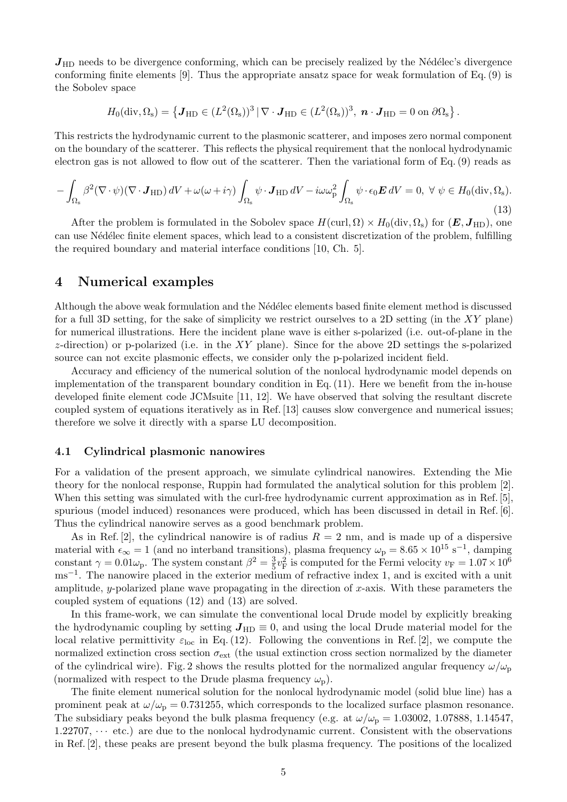$J_{HD}$  needs to be divergence conforming, which can be precisely realized by the Nédélec's divergence conforming finite elements [9]. Thus the appropriate ansatz space for weak formulation of Eq.(9) is the Sobolev space

$$
H_0(\text{div},\Omega_s) = \left\{ \mathbf{J}_{\text{HD}} \in (L^2(\Omega_s))^3 \,|\, \nabla \cdot \mathbf{J}_{\text{HD}} \in (L^2(\Omega_s))^3, \; \mathbf{n} \cdot \mathbf{J}_{\text{HD}} = 0 \text{ on } \partial \Omega_s \right\}.
$$

This restricts the hydrodynamic current to the plasmonic scatterer, and imposes zero normal component on the boundary of the scatterer. This reflects the physical requirement that the nonlocal hydrodynamic electron gas is not allowed to flow out of the scatterer. Then the variational form of Eq. (9) reads as

$$
-\int_{\Omega_{\rm s}} \beta^2 (\nabla \cdot \psi)(\nabla \cdot \mathbf{J}_{\rm HD}) \, dV + \omega(\omega + i\gamma) \int_{\Omega_{\rm s}} \psi \cdot \mathbf{J}_{\rm HD} \, dV - i\omega \omega_{\rm p}^2 \int_{\Omega_{\rm s}} \psi \cdot \epsilon_0 \mathbf{E} \, dV = 0, \ \forall \ \psi \in H_0(\text{div}, \Omega_{\rm s}).
$$
\n(13)

After the problem is formulated in the Sobolev space  $H(\text{curl}, \Omega) \times H_0(\text{div}, \Omega_s)$  for  $(E, J_{HD})$ , one can use N´ed´elec finite element spaces, which lead to a consistent discretization of the problem, fulfilling the required boundary and material interface conditions [10, Ch. 5].

## 4 Numerical examples

Although the above weak formulation and the Nédélec elements based finite element method is discussed for a full 3D setting, for the sake of simplicity we restrict ourselves to a 2D setting (in the  $XY$  plane) for numerical illustrations. Here the incident plane wave is either s-polarized (i.e. out-of-plane in the  $z$ -direction) or p-polarized (i.e. in the XY plane). Since for the above 2D settings the s-polarized source can not excite plasmonic effects, we consider only the p-polarized incident field.

Accuracy and efficiency of the numerical solution of the nonlocal hydrodynamic model depends on implementation of the transparent boundary condition in Eq.(11). Here we benefit from the in-house developed finite element code JCMsuite [11, 12]. We have observed that solving the resultant discrete coupled system of equations iteratively as in Ref. [13] causes slow convergence and numerical issues; therefore we solve it directly with a sparse LU decomposition.

### 4.1 Cylindrical plasmonic nanowires

For a validation of the present approach, we simulate cylindrical nanowires. Extending the Mie theory for the nonlocal response, Ruppin had formulated the analytical solution for this problem [2]. When this setting was simulated with the curl-free hydrodynamic current approximation as in Ref. [5], spurious (model induced) resonances were produced, which has been discussed in detail in Ref. [6]. Thus the cylindrical nanowire serves as a good benchmark problem.

As in Ref. [2], the cylindrical nanowire is of radius  $R = 2$  nm, and is made up of a dispersive material with  $\epsilon_{\infty} = 1$  (and no interband transitions), plasma frequency  $\omega_{\rm p} = 8.65 \times 10^{15} \text{ s}^{-1}$ , damping constant  $\gamma = 0.01\omega_{\rm p}$ . The system constant  $\beta^2 = \frac{3}{5}$  $\frac{3}{5}v_F^2$  is computed for the Fermi velocity  $v_F = 1.07 \times 10^6$ ms<sup>-1</sup>. The nanowire placed in the exterior medium of refractive index 1, and is excited with a unit amplitude, y-polarized plane wave propagating in the direction of  $x$ -axis. With these parameters the coupled system of equations (12) and (13) are solved.

In this frame-work, we can simulate the conventional local Drude model by explicitly breaking the hydrodynamic coupling by setting  $J_{HD} \equiv 0$ , and using the local Drude material model for the local relative permittivity  $\varepsilon_{\text{loc}}$  in Eq.(12). Following the conventions in Ref. [2], we compute the normalized extinction cross section  $\sigma_{\text{ext}}$  (the usual extinction cross section normalized by the diameter of the cylindrical wire). Fig. 2 shows the results plotted for the normalized angular frequency  $\omega/\omega_p$ (normalized with respect to the Drude plasma frequency  $\omega_{\rm p}$ ).

The finite element numerical solution for the nonlocal hydrodynamic model (solid blue line) has a prominent peak at  $\omega/\omega_p = 0.731255$ , which corresponds to the localized surface plasmon resonance. The subsidiary peaks beyond the bulk plasma frequency (e.g. at  $\omega/\omega_p = 1.03002, 1.07888, 1.14547,$  $1.22707, \dots$  etc.) are due to the nonlocal hydrodynamic current. Consistent with the observations in Ref. [2], these peaks are present beyond the bulk plasma frequency. The positions of the localized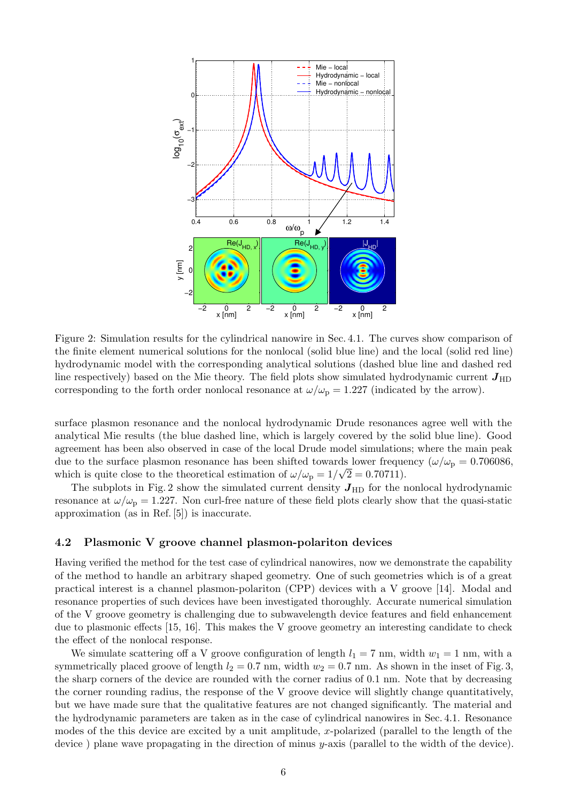

Figure 2: Simulation results for the cylindrical nanowire in Sec. 4.1. The curves show comparison of the finite element numerical solutions for the nonlocal (solid blue line) and the local (solid red line) hydrodynamic model with the corresponding analytical solutions (dashed blue line and dashed red line respectively) based on the Mie theory. The field plots show simulated hydrodynamic current  $J_{\text{HD}}$ corresponding to the forth order nonlocal resonance at  $\omega/\omega_p = 1.227$  (indicated by the arrow).

surface plasmon resonance and the nonlocal hydrodynamic Drude resonances agree well with the analytical Mie results (the blue dashed line, which is largely covered by the solid blue line). Good agreement has been also observed in case of the local Drude model simulations; where the main peak due to the surface plasmon resonance has been shifted towards lower frequency ( $\omega/\omega_{\rm p} = 0.706086$ , which is quite close to the theoretical estimation of  $\omega/\omega_p = 1/\sqrt{2} = 0.70711$ .

The subplots in Fig. 2 show the simulated current density  $J_{HD}$  for the nonlocal hydrodynamic resonance at  $\omega/\omega_{\rm p} = 1.227$ . Non curl-free nature of these field plots clearly show that the quasi-static approximation (as in Ref. [5]) is inaccurate.

#### 4.2 Plasmonic V groove channel plasmon-polariton devices

Having verified the method for the test case of cylindrical nanowires, now we demonstrate the capability of the method to handle an arbitrary shaped geometry. One of such geometries which is of a great practical interest is a channel plasmon-polariton (CPP) devices with a V groove [14]. Modal and resonance properties of such devices have been investigated thoroughly. Accurate numerical simulation of the V groove geometry is challenging due to subwavelength device features and field enhancement due to plasmonic effects [15, 16]. This makes the V groove geometry an interesting candidate to check the effect of the nonlocal response.

We simulate scattering off a V groove configuration of length  $l_1 = 7$  nm, width  $w_1 = 1$  nm, with a symmetrically placed groove of length  $l_2 = 0.7$  nm, width  $w_2 = 0.7$  nm. As shown in the inset of Fig. 3, the sharp corners of the device are rounded with the corner radius of 0.1 nm. Note that by decreasing the corner rounding radius, the response of the V groove device will slightly change quantitatively, but we have made sure that the qualitative features are not changed significantly. The material and the hydrodynamic parameters are taken as in the case of cylindrical nanowires in Sec. 4.1. Resonance modes of the this device are excited by a unit amplitude, x-polarized (parallel to the length of the device) plane wave propagating in the direction of minus y-axis (parallel to the width of the device).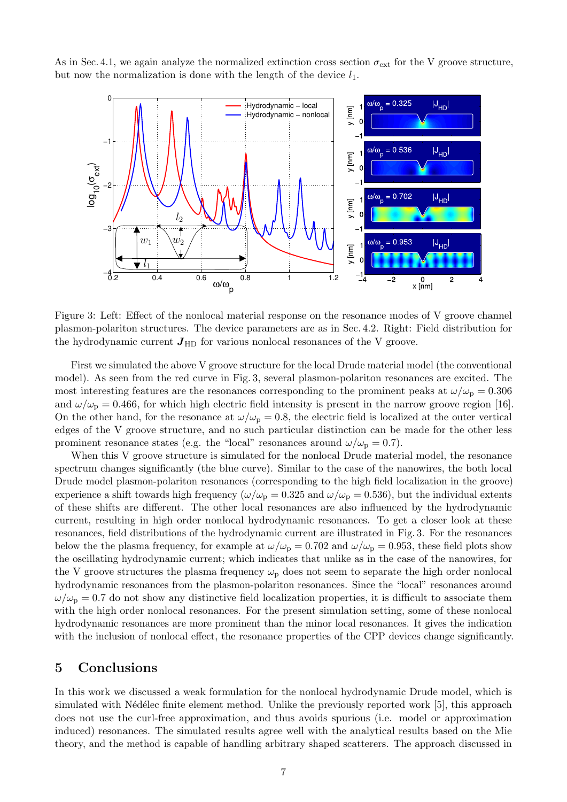As in Sec. 4.1, we again analyze the normalized extinction cross section  $\sigma_{ext}$  for the V groove structure, but now the normalization is done with the length of the device  $l_1$ .



Figure 3: Left: Effect of the nonlocal material response on the resonance modes of V groove channel plasmon-polariton structures. The device parameters are as in Sec. 4.2. Right: Field distribution for the hydrodynamic current  $J_{HD}$  for various nonlocal resonances of the V groove.

First we simulated the above V groove structure for the local Drude material model (the conventional model). As seen from the red curve in Fig. 3, several plasmon-polariton resonances are excited. The most interesting features are the resonances corresponding to the prominent peaks at  $\omega/\omega_{\rm p} = 0.306$ and  $\omega/\omega_p = 0.466$ , for which high electric field intensity is present in the narrow groove region [16]. On the other hand, for the resonance at  $\omega/\omega_p = 0.8$ , the electric field is localized at the outer vertical edges of the V groove structure, and no such particular distinction can be made for the other less prominent resonance states (e.g. the "local" resonances around  $\omega/\omega_{\rm p} = 0.7$ ).

When this V groove structure is simulated for the nonlocal Drude material model, the resonance spectrum changes significantly (the blue curve). Similar to the case of the nanowires, the both local Drude model plasmon-polariton resonances (corresponding to the high field localization in the groove) experience a shift towards high frequency ( $\omega/\omega_p = 0.325$  and  $\omega/\omega_p = 0.536$ ), but the individual extents of these shifts are different. The other local resonances are also influenced by the hydrodynamic current, resulting in high order nonlocal hydrodynamic resonances. To get a closer look at these resonances, field distributions of the hydrodynamic current are illustrated in Fig. 3. For the resonances below the the plasma frequency, for example at  $\omega/\omega_p = 0.702$  and  $\omega/\omega_p = 0.953$ , these field plots show the oscillating hydrodynamic current; which indicates that unlike as in the case of the nanowires, for the V groove structures the plasma frequency  $\omega_p$  does not seem to separate the high order nonlocal hydrodynamic resonances from the plasmon-polariton resonances. Since the "local" resonances around  $\omega/\omega_{\rm p} = 0.7$  do not show any distinctive field localization properties, it is difficult to associate them with the high order nonlocal resonances. For the present simulation setting, some of these nonlocal hydrodynamic resonances are more prominent than the minor local resonances. It gives the indication with the inclusion of nonlocal effect, the resonance properties of the CPP devices change significantly.

## 5 Conclusions

In this work we discussed a weak formulation for the nonlocal hydrodynamic Drude model, which is simulated with Nédélec finite element method. Unlike the previously reported work [5], this approach does not use the curl-free approximation, and thus avoids spurious (i.e. model or approximation induced) resonances. The simulated results agree well with the analytical results based on the Mie theory, and the method is capable of handling arbitrary shaped scatterers. The approach discussed in